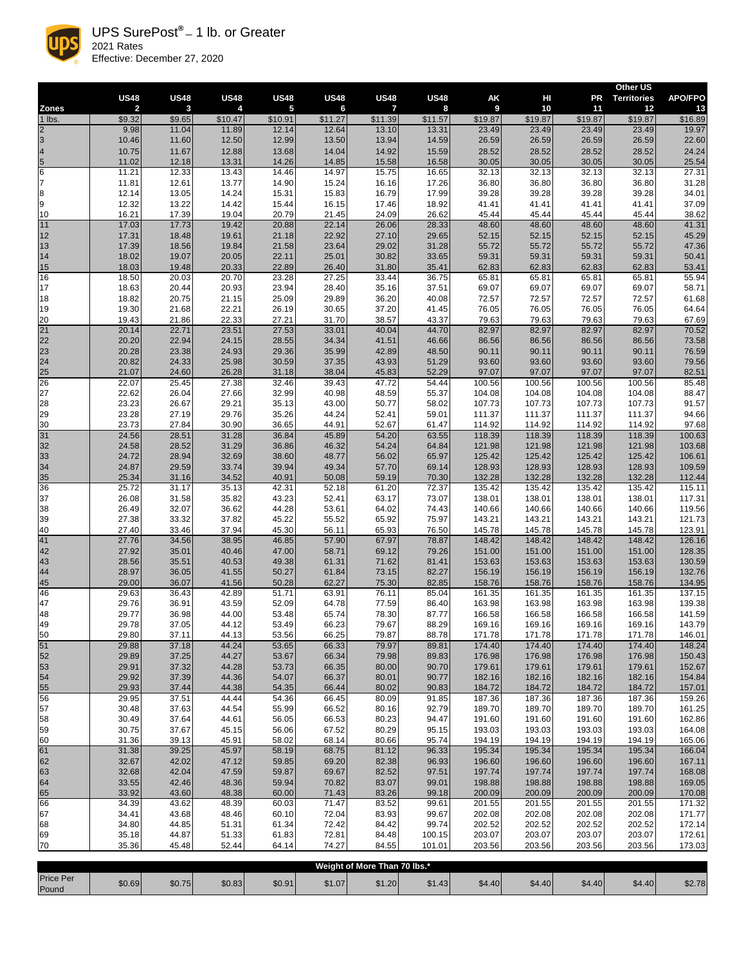|                         | <b>US48</b>    | <b>US48</b>    | <b>US48</b>    | <b>US48</b>             | <b>US48</b>    | <b>US48</b>    | <b>US48</b>    | AK               | HI               | <b>PR</b>        | <b>Other US</b><br><b>Territories</b> | <b>APO/FPO</b>   |
|-------------------------|----------------|----------------|----------------|-------------------------|----------------|----------------|----------------|------------------|------------------|------------------|---------------------------------------|------------------|
| <b>Zones</b>            | $\overline{2}$ | $\mathbf{3}$   | 4              | $\overline{\mathbf{5}}$ | 6              | $\overline{7}$ | 8              | 9                | 10               | 11               | 12                                    | 13               |
| $1$ lbs.                | \$9.32         | \$9.65         | \$10.47        | \$10.91                 | \$11.27        | \$11.39        | \$11.57        | \$19.87          | \$19.87          | \$19.87          | \$19.87                               | \$16.89          |
| $\frac{2}{3}$           | 9.98           | 11.04          | 11.89          | 12.14                   | 12.64          | 13.10          | 13.31          | 23.49            | 23.49            | 23.49            | 23.49                                 | 19.97            |
|                         | 10.46<br>10.75 | 11.60<br>11.67 | 12.50<br>12.88 | 12.99                   | 13.50<br>14.04 | 13.94<br>14.92 | 14.59          | 26.59<br>28.52   | 26.59<br>28.52   | 26.59<br>28.52   | 26.59<br>28.52                        | 22.60            |
| $\frac{4}{5}$           | 11.02          | 12.18          | 13.31          | 13.68<br>14.26          | 14.85          | 15.58          | 15.59<br>16.58 | 30.05            | 30.05            | 30.05            | 30.05                                 | 24.24<br>25.54   |
| 6                       | 11.21          | 12.33          | 13.43          | 14.46                   | 14.97          | 15.75          | 16.65          | 32.13            | 32.13            | 32.13            | 32.13                                 | 27.31            |
| 7                       | 11.81          | 12.61          | 13.77          | 14.90                   | 15.24          | 16.16          | 17.26          | 36.80            | 36.80            | 36.80            | 36.80                                 | 31.28            |
| 8                       | 12.14          | 13.05          | 14.24          | 15.31                   | 15.83          | 16.79          | 17.99          | 39.28            | 39.28            | 39.28            | 39.28                                 | 34.01            |
| 9                       | 12.32          | 13.22          | 14.42          | 15.44                   | 16.15          | 17.46          | 18.92          | 41.41            | 41.41            | 41.41            | 41.41                                 | 37.09            |
| 10                      | 16.21          | 17.39          | 19.04          | 20.79                   | 21.45          | 24.09          | 26.62          | 45.44            | 45.44            | 45.44            | 45.44                                 | 38.62            |
| $\overline{11}$<br>$12$ | 17.03<br>17.31 | 17.73<br>18.48 | 19.42<br>19.61 | 20.88<br>21.18          | 22.14<br>22.92 | 26.06<br>27.10 | 28.33<br>29.65 | 48.60<br>52.15   | 48.60<br>52.15   | 48.60<br>52.15   | 48.60<br>52.15                        | 41.31<br>45.29   |
| 13                      | 17.39          | 18.56          | 19.84          | 21.58                   | 23.64          | 29.02          | 31.28          | 55.72            | 55.72            | 55.72            | 55.72                                 | 47.36            |
| 14                      | 18.02          | 19.07          | 20.05          | 22.11                   | 25.01          | 30.82          | 33.65          | 59.31            | 59.31            | 59.31            | 59.31                                 | 50.41            |
| 15                      | 18.03          | 19.48          | 20.33          | 22.89                   | 26.40          | 31.80          | 35.41          | 62.83            | 62.83            | 62.83            | 62.83                                 | 53.41            |
| 16                      | 18.50          | 20.03          | 20.70          | 23.28                   | 27.25          | 33.44          | 36.75          | 65.81            | 65.81            | 65.81            | 65.81                                 | 55.94            |
| 17                      | 18.63          | 20.44          | 20.93          | 23.94                   | 28.40          | 35.16          | 37.51          | 69.07            | 69.07            | 69.07            | 69.07                                 | 58.71<br>61.68   |
| 18<br>19                | 18.82<br>19.30 | 20.75<br>21.68 | 21.15<br>22.21 | 25.09<br>26.19          | 29.89<br>30.65 | 36.20<br>37.20 | 40.08<br>41.45 | 72.57<br>76.05   | 72.57<br>76.05   | 72.57<br>76.05   | 72.57<br>76.05                        | 64.64            |
|                         | 19.43          | 21.86          | 22.33          | 27.21                   | 31.70          | 38.57          | 43.37          | 79.63            | 79.63            | 79.63            | 79.63                                 | 67.69            |
| $\frac{20}{21}$         | 20.14          | 22.71          | 23.51          | 27.53                   | 33.01          | 40.04          | 44.70          | 82.97            | 82.97            | 82.97            | 82.97                                 | 70.52            |
| 22                      | 20.20          | 22.94          | 24.15          | 28.55                   | 34.34          | 41.51          | 46.66          | 86.56            | 86.56            | 86.56            | 86.56                                 | 73.58            |
| 23                      | 20.28          | 23.38          | 24.93          | 29.36                   | 35.99          | 42.89          | 48.50          | 90.11            | 90.11            | 90.11            | 90.11                                 | 76.59            |
| 24                      | 20.82<br>21.07 | 24.33<br>24.60 | 25.98<br>26.28 | 30.59<br>31.18          | 37.35<br>38.04 | 43.93<br>45.83 | 51.29<br>52.29 | 93.60<br>97.07   | 93.60<br>97.07   | 93.60<br>97.07   | 93.60<br>97.07                        | 79.56<br>82.51   |
| 25<br>26                | 22.07          | 25.45          | 27.38          | 32.46                   | 39.43          | 47.72          | 54.44          | 100.56           | 100.56           | 100.56           | 100.56                                | 85.48            |
| 27                      | 22.62          | 26.04          | 27.66          | 32.99                   | 40.98          | 48.59          | 55.37          | 104.08           | 104.08           | 104.08           | 104.08                                | 88.47            |
| 28                      | 23.23          | 26.67          | 29.21          | 35.13                   | 43.00          | 50.77          | 58.02          | 107.73           | 107.73           | 107.73           | 107.73                                | 91.57            |
| 29                      | 23.28          | 27.19          | 29.76          | 35.26                   | 44.24          | 52.41          | 59.01          | 111.37           | 111.37           | 111.37           | 111.37                                | 94.66            |
| 30                      | 23.73          | 27.84          | 30.90          | 36.65                   | 44.91          | 52.67          | 61.47          | 114.92           | 114.92           | 114.92           | 114.92                                | 97.68            |
| 31<br>32                | 24.56<br>24.58 | 28.51<br>28.52 | 31.28<br>31.29 | 36.84<br>36.86          | 45.89<br>46.32 | 54.20<br>54.24 | 63.55<br>64.84 | 118.39<br>121.98 | 118.39<br>121.98 | 118.39<br>121.98 | 118.39<br>121.98                      | 100.63<br>103.68 |
| 33                      | 24.72          | 28.94          | 32.69          | 38.60                   | 48.77          | 56.02          | 65.97          | 125.42           | 125.42           | 125.42           | 125.42                                | 106.61           |
| 34                      | 24.87          | 29.59          | 33.74          | 39.94                   | 49.34          | 57.70          | 69.14          | 128.93           | 128.93           | 128.93           | 128.93                                | 109.59           |
| <u>35</u>               | 25.34          | 31.16          | 34.52          | 40.91                   | 50.08          | 59.19          | 70.30          | 132.28           | 132.28           | 132.28           | 132.28                                | 112.44           |
| 36                      | 25.72          | 31.17          | 35.13          | 42.31                   | 52.18          | 61.20          | 72.37          | 135.42           | 135.42           | 135.42           | 135.42                                | 115.11           |
| 37                      | 26.08          | 31.58          | 35.82          | 43.23                   | 52.41          | 63.17          | 73.07          | 138.01           | 138.01           | 138.01           | 138.01                                | 117.31           |
| 38<br>39                | 26.49<br>27.38 | 32.07<br>33.32 | 36.62<br>37.82 | 44.28<br>45.22          | 53.61<br>55.52 | 64.02<br>65.92 | 74.43<br>75.97 | 140.66<br>143.21 | 140.66<br>143.21 | 140.66<br>143.21 | 140.66<br>143.21                      | 119.56<br>121.73 |
| 40                      | 27.40          | 33.46          | 37.94          | 45.30                   | 56.11          | 65.93          | 76.50          | 145.78           | 145.78           | 145.78           | 145.78                                | 123.91           |
| 41                      | 27.76          | 34.56          | 38.95          | 46.85                   | 57.90          | 67.97          | 78.87          | 148.42           | 148.42           | 148.42           | 148.42                                | 126.16           |
| 42                      | 27.92          | 35.01          | 40.46          | 47.00                   | 58.71          | 69.12          | 79.26          | 151.00           | 151.00           | 151.00           | 151.00                                | 128.35           |
| 43                      | 28.56          | 35.51          | 40.53          | 49.38                   | 61.31          | 71.62          | 81.41          | 153.63           | 153.63           | 153.63           | 153.63                                | 130.59           |
| 44                      | 28.97<br>29.00 | 36.05<br>36.07 | 41.55<br>41.56 | 50.27<br>50.28          | 61.84<br>62.27 | 73.15<br>75.30 | 82.27<br>82.85 | 156.19<br>158.76 | 156.19<br>158.76 | 156.19<br>158.76 | 156.19<br>158.76                      | 132.76<br>134.95 |
| 45<br>46                | 29.63          | 36.43          | 42.89          | 51.71                   | 63.91          | 76.11          | 85.04          | 161.35           | 161.35           | 161.35           | 161.35                                | 137.15           |
| 47                      | 29.76          | 36.91          | 43.59          | 52.09                   | 64.78          | 77.59          | 86.40          | 163.98           | 163.98           | 163.98           | 163.98                                | 139.38           |
| 48                      | 29.77          | 36.98          | 44.00          | 53.48                   | 65.74          | 78.30          | 87.77          | 166.58           | 166.58           | 166.58           | 166.58                                | 141.59           |
| 49                      | 29.78          | 37.05          | 44.12          | 53.49                   | 66.23          | 79.67          | 88.29          | 169.16           | 169.16           | 169.16           | 169.16                                | 143.79           |
| 50<br>51                | 29.80          | 37.11<br>37.18 | 44.13<br>44.24 | 53.56<br>53.65          | 66.25          | 79.87          | 88.78          | 171.78           | 171.78           | 171.78<br>174.40 | 171.78<br>174.40                      | 146.01           |
| 52                      | 29.88<br>29.89 | 37.25          | 44.27          | 53.67                   | 66.33<br>66.34 | 79.97<br>79.98 | 89.81<br>89.83 | 174.40<br>176.98 | 174.40<br>176.98 | 176.98           | 176.98                                | 148.24<br>150.43 |
| 53                      | 29.91          | 37.32          | 44.28          | 53.73                   | 66.35          | 80.00          | 90.70          | 179.61           | 179.61           | 179.61           | 179.61                                | 152.67           |
| 54                      | 29.92          | 37.39          | 44.36          | 54.07                   | 66.37          | 80.01          | 90.77          | 182.16           | 182.16           | 182.16           | 182.16                                | 154.84           |
| 55                      | 29.93          | 37.44          | 44.38          | 54.35                   | 66.44          | 80.02          | 90.83          | 184.72           | 184.72           | 184.72           | 184.72                                | 157.01           |
| $\overline{56}$         | 29.95          | 37.51          | 44.44          | 54.36                   | 66.45          | 80.09          | 91.85          | 187.36           | 187.36           | 187.36           | 187.36                                | 159.26           |
| 57<br>58                | 30.48<br>30.49 | 37.63<br>37.64 | 44.54<br>44.61 | 55.99<br>56.05          | 66.52<br>66.53 | 80.16<br>80.23 | 92.79<br>94.47 | 189.70<br>191.60 | 189.70<br>191.60 | 189.70<br>191.60 | 189.70<br>191.60                      | 161.25<br>162.86 |
| 59                      | 30.75          | 37.67          | 45.15          | 56.06                   | 67.52          | 80.29          | 95.15          | 193.03           | 193.03           | 193.03           | 193.03                                | 164.08           |
| 60                      | 31.36          | 39.13          | 45.91          | 58.02                   | 68.14          | 80.66          | 95.74          | 194.19           | 194.19           | 194.19           | 194.19                                | 165.06           |
| 61                      | 31.38          | 39.25          | 45.97          | 58.19                   | 68.75          | 81.12          | 96.33          | 195.34           | 195.34           | 195.34           | 195.34                                | 166.04           |
| 62                      | 32.67          | 42.02          | 47.12          | 59.85                   | 69.20          | 82.38          | 96.93          | 196.60           | 196.60           | 196.60           | 196.60                                | 167.11           |
| 63                      | 32.68          | 42.04          | 47.59          | 59.87                   | 69.67          | 82.52          | 97.51          | 197.74           | 197.74           | 197.74           | 197.74                                | 168.08           |
| 64<br>65                | 33.55<br>33.92 | 42.46<br>43.60 | 48.36<br>48.38 | 59.94<br>60.00          | 70.82<br>71.43 | 83.07<br>83.26 | 99.01<br>99.18 | 198.88<br>200.09 | 198.88<br>200.09 | 198.88<br>200.09 | 198.88<br>200.09                      | 169.05<br>170.08 |
| 66                      | 34.39          | 43.62          | 48.39          | 60.03                   | 71.47          | 83.52          | 99.61          | 201.55           | 201.55           | 201.55           | 201.55                                | 171.32           |
| 67                      | 34.41          | 43.68          | 48.46          | 60.10                   | 72.04          | 83.93          | 99.67          | 202.08           | 202.08           | 202.08           | 202.08                                | 171.77           |
| 68                      | 34.80          | 44.85          | 51.31          | 61.34                   | 72.42          | 84.42          | 99.74          | 202.52           | 202.52           | 202.52           | 202.52                                | 172.14           |
| 69                      | 35.18          | 44.87          | 51.33          | 61.83                   | 72.81          | 84.48          | 100.15         | 203.07           | 203.07           | 203.07           | 203.07                                | 172.61           |
| 70                      | 35.36          | 45.48          | 52.44          | 64.14                   | 74.27          | 84.55          | 101.01         | 203.56           | 203.56           | 203.56           | 203.56                                | 173.03           |

| Weight of More Than 70 lbs.* |        |        |        |        |        |        |        |        |        |        |        |        |
|------------------------------|--------|--------|--------|--------|--------|--------|--------|--------|--------|--------|--------|--------|
| <b>Price Per</b><br>Pound    | \$0.69 | \$0.75 | \$0.83 | \$0.91 | \$1.07 | \$1.20 | \$1.43 | \$4.40 | \$4.40 | \$4.40 | \$4.40 | \$2.78 |



UPS SurePost**® —** 1 lb. or Greater 2021 Rates Effective: December 27, 2020